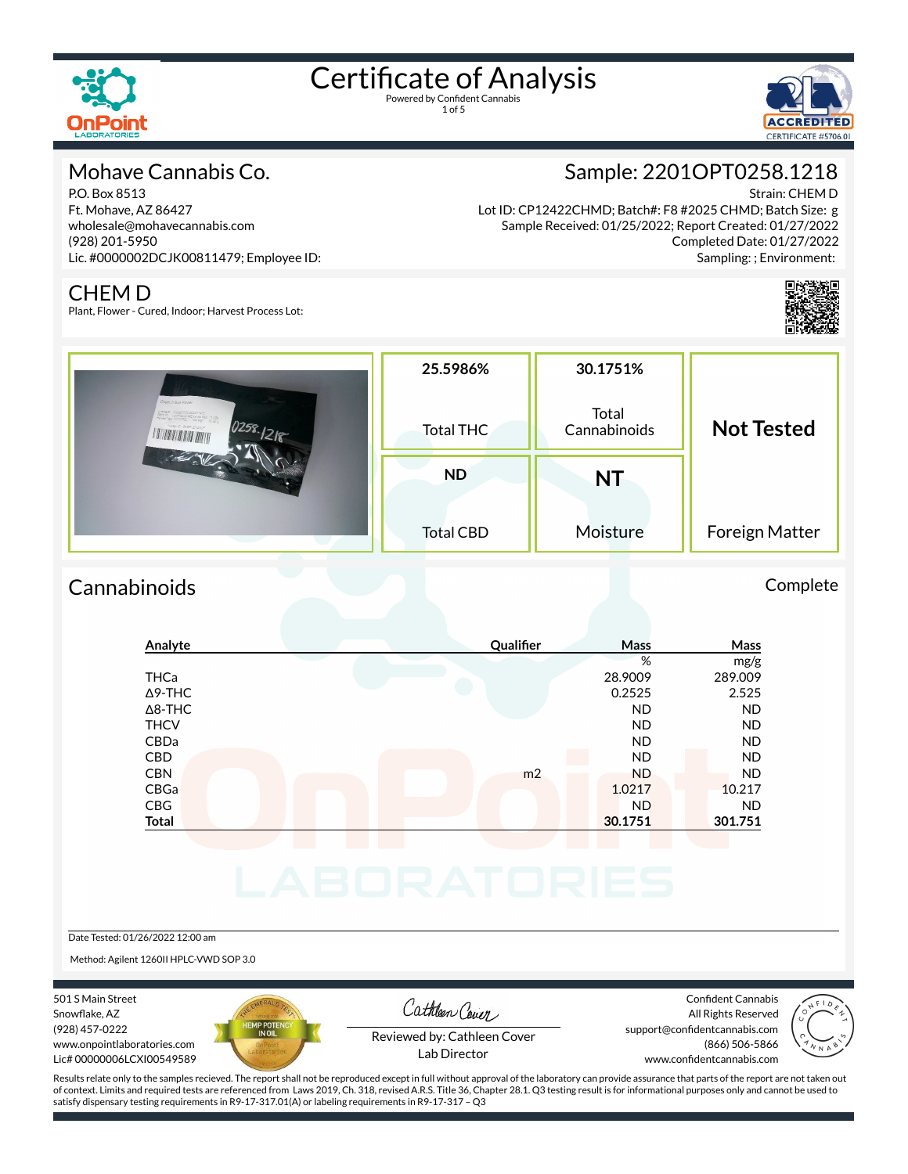

1 of 5



#### Mohave Cannabis Co.

P.O. Box 8513 Ft. Mohave, AZ 86427 wholesale@mohavecannabis.com (928) 201-5950 Lic. #0000002DCJK00811479; Employee ID:

### Sample: 2201OPT0258.1218

Strain: CHEM D

Lot ID: CP12422CHMD; Batch#: F8 #2025 CHMD; Batch Size: g Sample Received: 01/25/2022; Report Created: 01/27/2022 Completed Date: 01/27/2022 Sampling: ; Environment:

#### CHEM D

Plant, Flower - Cured, Indoor; Harvest Process Lot:

|                    | 25.5986%         | 30.1751%              |                   |
|--------------------|------------------|-----------------------|-------------------|
| Chem D Bulk Flower | <b>Total THC</b> | Total<br>Cannabinoids | <b>Not Tested</b> |
|                    | <b>ND</b>        | NT                    |                   |
|                    | <b>Total CBD</b> | Moisture              | Foreign Matter    |

#### Cannabinoids Complete

#### **Analyte Qualier Mass Mass** % mg/g THCa 28.9009 289.009  $\Delta$ 9-THC 2.525 2.525 2.525 Δ8-THC ND ND THCV ND ND CBDa ND ND CBD A RESIDENCE OF A RESIDENCE OF A RESIDENCE OF A RESIDENCE OF A RESIDENCE OF A RESIDENCE OF A RESIDENCE OF A CBN m2 ND ND CBGa 1.0217 10.217 CBG ND ND **Total 30.1751 301.751**

Date Tested: 01/26/2022 12:00 am

Method: Agilent 1260II HPLC-VWD SOP 3.0

501 S Main Street Snowflake, AZ (928) 457-0222 www.onpointlaboratories.com Lic# 00000006LCXI00549589



Cathleen Cover

Confident Cannabis All Rights Reserved support@confidentcannabis.com (866) 506-5866



Reviewed by: Cathleen Cover Lab Director

www.confidentcannabis.com

Results relate only to the samples recieved. The report shall not be reproduced except in full without approval of the laboratory can provide assurance that parts of the report are not taken out of context. Limits and required tests are referenced from Laws 2019, Ch. 318, revised A.R.S. Title 36, Chapter 28.1. Q3 testing result is for informational purposes only and cannot be used to satisfy dispensary testing requirements in R9-17-317.01(A) or labeling requirements in R9-17-317 – Q3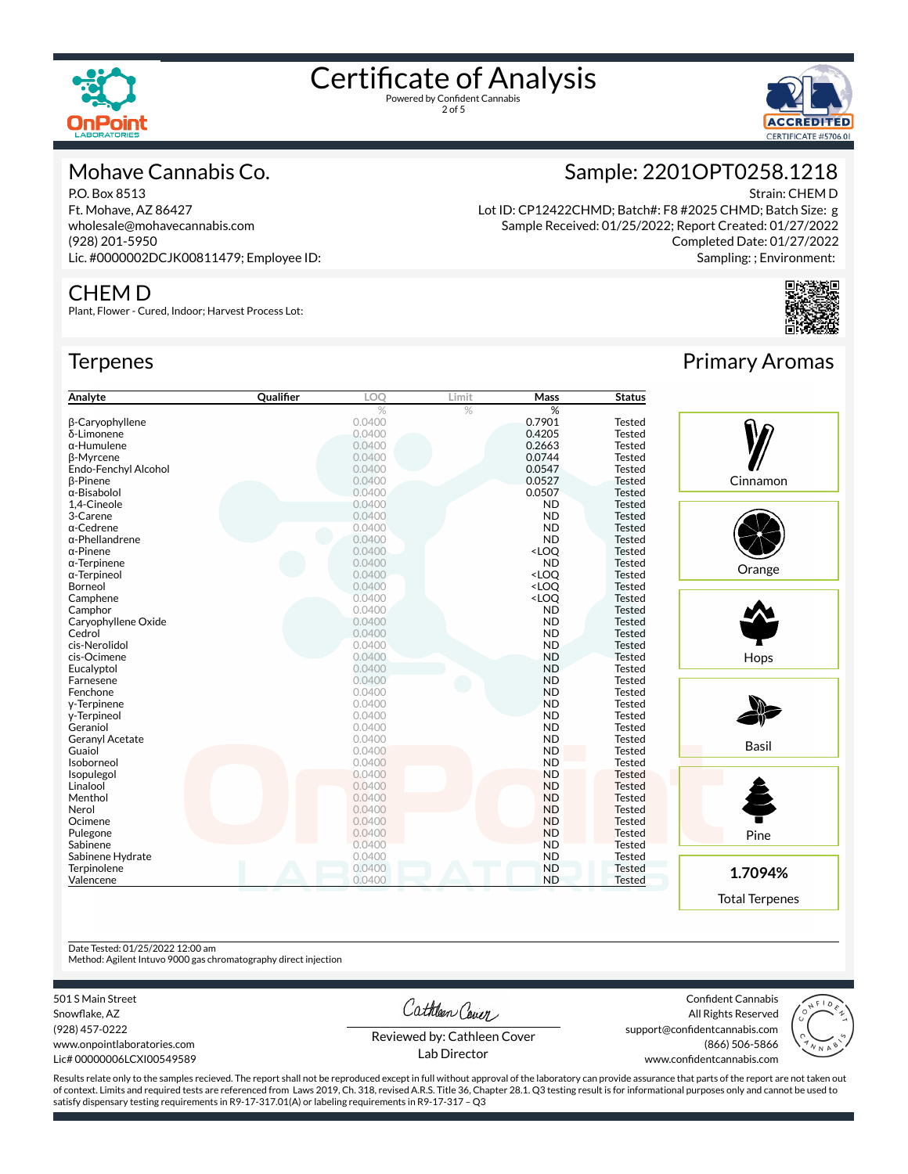

2 of 5



Strain: CHEM D

#### Mohave Cannabis Co.

P.O. Box 8513 Ft. Mohave, AZ 86427 wholesale@mohavecannabis.com (928) 201-5950 Lic. #0000002DCJK00811479; Employee ID:

#### CHEM D

Plant, Flower - Cured, Indoor; Harvest Process Lot:

#### **Terpenes**

| Analyte                | Qualifier | LOQ    | Limit | <b>Mass</b>                               | <b>Status</b> |
|------------------------|-----------|--------|-------|-------------------------------------------|---------------|
|                        |           | %      | $\%$  | %                                         |               |
| β-Caryophyllene        |           | 0.0400 |       | 0.7901                                    | <b>Tested</b> |
| δ-Limonene             |           | 0.0400 |       | 0.4205                                    | <b>Tested</b> |
| $\alpha$ -Humulene     |           | 0.0400 |       | 0.2663                                    | <b>Tested</b> |
| β-Myrcene              |           | 0.0400 |       | 0.0744                                    | <b>Tested</b> |
| Endo-Fenchyl Alcohol   |           | 0.0400 |       | 0.0547                                    | <b>Tested</b> |
| <b>B-Pinene</b>        |           | 0.0400 |       | 0.0527                                    | <b>Tested</b> |
| α-Bisabolol            |           | 0.0400 |       | 0.0507                                    | <b>Tested</b> |
| 1,4-Cineole            |           | 0.0400 |       | <b>ND</b>                                 | <b>Tested</b> |
| 3-Carene               |           | 0.0400 |       | <b>ND</b>                                 | <b>Tested</b> |
| α-Cedrene              |           | 0.0400 |       | <b>ND</b>                                 | <b>Tested</b> |
| $\alpha$ -Phellandrene |           | 0.0400 |       | <b>ND</b>                                 | <b>Tested</b> |
| $\alpha$ -Pinene       |           | 0.0400 |       | <loq< td=""><td><b>Tested</b></td></loq<> | <b>Tested</b> |
| $\alpha$ -Terpinene    |           | 0.0400 |       | <b>ND</b>                                 | <b>Tested</b> |
| $\alpha$ -Terpineol    |           | 0.0400 |       | <loo< td=""><td><b>Tested</b></td></loo<> | <b>Tested</b> |
| Borneol                |           | 0.0400 |       | <loq< td=""><td><b>Tested</b></td></loq<> | <b>Tested</b> |
| Camphene               |           | 0.0400 |       | <loq< td=""><td><b>Tested</b></td></loq<> | <b>Tested</b> |
| Camphor                |           | 0.0400 |       | <b>ND</b>                                 | <b>Tested</b> |
| Caryophyllene Oxide    |           | 0.0400 |       | <b>ND</b>                                 | <b>Tested</b> |
| Cedrol                 |           | 0.0400 |       | <b>ND</b>                                 | <b>Tested</b> |
| cis-Nerolidol          |           | 0.0400 |       | <b>ND</b>                                 | <b>Tested</b> |
| cis-Ocimene            |           | 0.0400 |       | <b>ND</b>                                 | <b>Tested</b> |
| Eucalyptol             |           | 0.0400 |       | <b>ND</b>                                 | <b>Tested</b> |
| Farnesene              |           | 0.0400 |       | <b>ND</b>                                 | <b>Tested</b> |
| Fenchone               |           | 0.0400 |       | <b>ND</b>                                 | <b>Tested</b> |
| y-Terpinene            |           | 0.0400 |       | <b>ND</b>                                 | <b>Tested</b> |
| y-Terpineol            |           | 0.0400 |       | <b>ND</b>                                 | <b>Tested</b> |
| Geraniol               |           | 0.0400 |       | <b>ND</b>                                 | <b>Tested</b> |
| <b>Geranyl Acetate</b> |           | 0.0400 |       | <b>ND</b>                                 | <b>Tested</b> |
| Guaiol                 |           | 0.0400 |       | <b>ND</b>                                 | <b>Tested</b> |
| Isoborneol             |           | 0.0400 |       | <b>ND</b>                                 | <b>Tested</b> |
| Isopulegol             |           | 0.0400 |       | <b>ND</b>                                 | <b>Tested</b> |
| Linalool               |           | 0.0400 |       | <b>ND</b>                                 | <b>Tested</b> |
| Menthol                |           | 0.0400 |       | <b>ND</b>                                 | <b>Tested</b> |
| Nerol                  |           | 0.0400 |       | <b>ND</b>                                 | <b>Tested</b> |
| Ocimene                |           | 0.0400 |       | <b>ND</b>                                 | <b>Tested</b> |
| Pulegone               |           | 0.0400 |       | <b>ND</b>                                 | <b>Tested</b> |
| Sabinene               |           | 0.0400 |       | <b>ND</b>                                 | <b>Tested</b> |
| Sabinene Hydrate       |           | 0.0400 |       | <b>ND</b>                                 | <b>Tested</b> |
| Terpinolene            |           | 0.0400 |       | <b>ND</b>                                 | <b>Tested</b> |
| Valencene              |           | 0.0400 |       | <b>ND</b>                                 | <b>Tested</b> |

## Primary Aromas

Completed Date: 01/27/2022 Sampling: ; Environment:

Sample: 2201OPT0258.1218

Lot ID: CP12422CHMD; Batch#: F8 #2025 CHMD; Batch Size: g Sample Received: 01/25/2022; Report Created: 01/27/2022



Date Tested: 01/25/2022 12:00 am

Method: Agilent Intuvo 9000 gas chromatography direct injection

501 S Main Street

Snowflake, AZ (928) 457-0222 www.onpointlaboratories.com Lic# 00000006LCXI00549589 Cathleen Cover

Confident Cannabis All Rights Reserved support@confidentcannabis.com (866) 506-5866



Reviewed by: Cathleen Cover Lab Director

www.confidentcannabis.com

Results relate only to the samples recieved. The report shall not be reproduced except in full without approval of the laboratory can provide assurance that parts of the report are not taken out of context. Limits and required tests are referenced from Laws 2019, Ch. 318, revised A.R.S. Title 36, Chapter 28.1. Q3 testing result is for informational purposes only and cannot be used to satisfy dispensary testing requirements in R9-17-317.01(A) or labeling requirements in R9-17-317 – Q3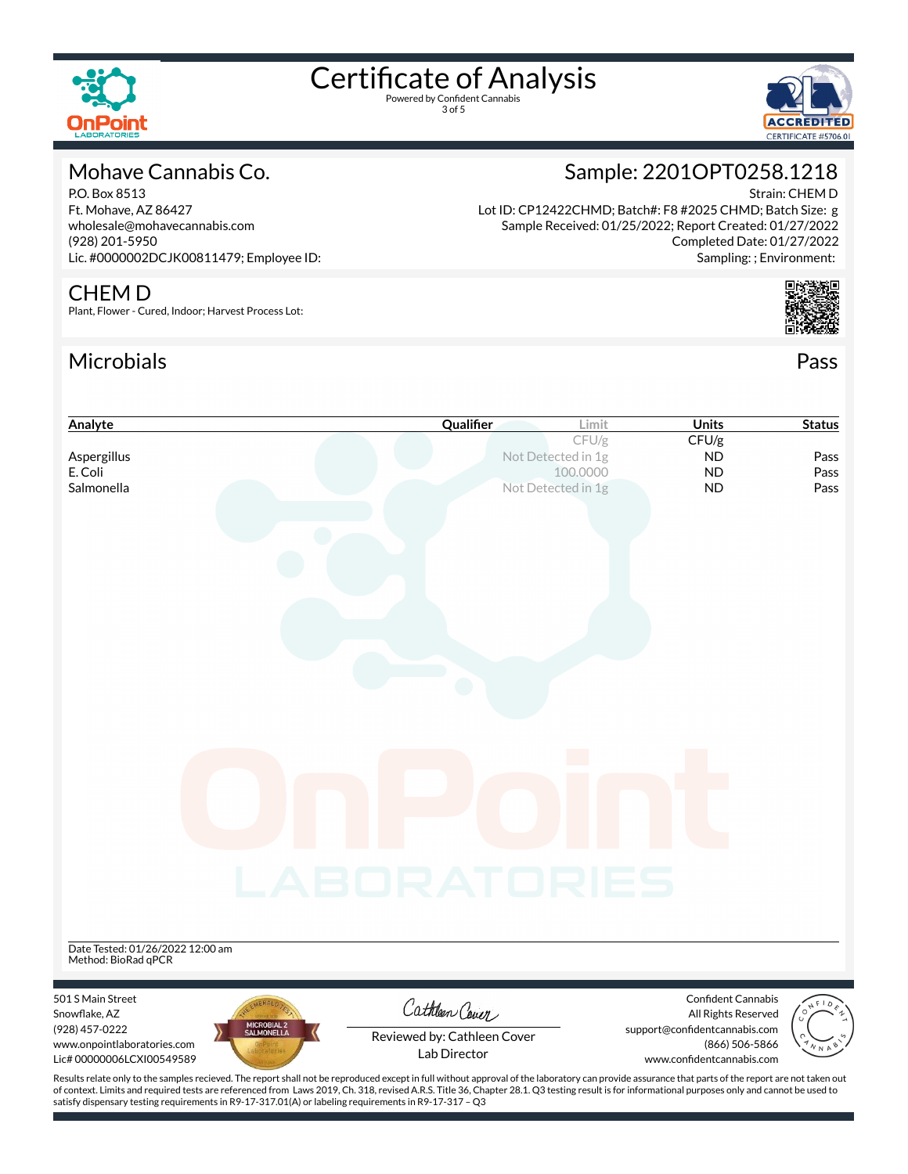

3 of 5



### Mohave Cannabis Co.

P.O. Box 8513 Ft. Mohave, AZ 86427 wholesale@mohavecannabis.com (928) 201-5950 Lic. #0000002DCJK00811479; Employee ID:

#### CHEM D

Plant, Flower - Cured, Indoor; Harvest Process Lot:

satisfy dispensary testing requirements in R9-17-317.01(A) or labeling requirements in R9-17-317 – Q3

#### Microbials Pass



Strain: CHEM D

Sampling: ; Environment:

Sample: 2201OPT0258.1218



| Analyte                                                                                                                                                                                            | Qualifier                   | Limit              | <b>Units</b>                                    | <b>Status</b> |
|----------------------------------------------------------------------------------------------------------------------------------------------------------------------------------------------------|-----------------------------|--------------------|-------------------------------------------------|---------------|
|                                                                                                                                                                                                    |                             | CFU/g              | CFU/g                                           |               |
| Aspergillus                                                                                                                                                                                        |                             | Not Detected in 1g | ND                                              | Pass          |
| E. Coli                                                                                                                                                                                            |                             | 100,0000           | <b>ND</b>                                       | Pass          |
| Salmonella                                                                                                                                                                                         |                             | Not Detected in 1g | <b>ND</b>                                       | Pass          |
|                                                                                                                                                                                                    |                             |                    |                                                 |               |
|                                                                                                                                                                                                    |                             |                    |                                                 |               |
|                                                                                                                                                                                                    |                             |                    |                                                 |               |
|                                                                                                                                                                                                    |                             |                    |                                                 |               |
|                                                                                                                                                                                                    |                             |                    |                                                 |               |
|                                                                                                                                                                                                    |                             |                    |                                                 |               |
|                                                                                                                                                                                                    |                             |                    |                                                 |               |
|                                                                                                                                                                                                    |                             |                    |                                                 |               |
|                                                                                                                                                                                                    |                             |                    |                                                 |               |
|                                                                                                                                                                                                    |                             |                    |                                                 |               |
|                                                                                                                                                                                                    |                             |                    |                                                 |               |
|                                                                                                                                                                                                    |                             |                    |                                                 |               |
|                                                                                                                                                                                                    |                             |                    |                                                 |               |
|                                                                                                                                                                                                    |                             |                    |                                                 |               |
|                                                                                                                                                                                                    |                             |                    |                                                 |               |
|                                                                                                                                                                                                    |                             |                    |                                                 |               |
|                                                                                                                                                                                                    |                             |                    |                                                 |               |
|                                                                                                                                                                                                    |                             |                    |                                                 |               |
|                                                                                                                                                                                                    |                             |                    |                                                 |               |
|                                                                                                                                                                                                    |                             |                    |                                                 |               |
|                                                                                                                                                                                                    | LABORATORIES                |                    |                                                 |               |
|                                                                                                                                                                                                    |                             |                    |                                                 |               |
|                                                                                                                                                                                                    |                             |                    |                                                 |               |
| Date Tested: 01/26/2022 12:00 am                                                                                                                                                                   |                             |                    |                                                 |               |
| Method: BioRad qPCR                                                                                                                                                                                |                             |                    |                                                 |               |
|                                                                                                                                                                                                    |                             |                    |                                                 |               |
| 501 S Main Street                                                                                                                                                                                  | Cathleen Cover              |                    | <b>Confident Cannabis</b>                       |               |
| Snowflake, AZ                                                                                                                                                                                      |                             |                    | All Rights Reserved                             |               |
| MICROBIAL 2<br>SALMONELLA<br>(928) 457-0222<br>www.onpointlaboratories.com                                                                                                                         | Reviewed by: Cathleen Cover |                    | support@confidentcannabis.com<br>(866) 506-5866 |               |
| Lic#00000006LCXI00549589                                                                                                                                                                           | Lab Director                |                    | www.confidentcannabis.com                       |               |
| Results relate only to the samples recieved. The report shall not be reproduced except in full without approval of the laboratory can provide assurance that parts of the report are not taken out |                             |                    |                                                 |               |
| of context. Limits and required tests are referenced from Laws 2019, Ch. 318, revised A.R.S. Title 36, Chapter 28.1. Q3 testing result is for informational purposes only and cannot be used to    |                             |                    |                                                 |               |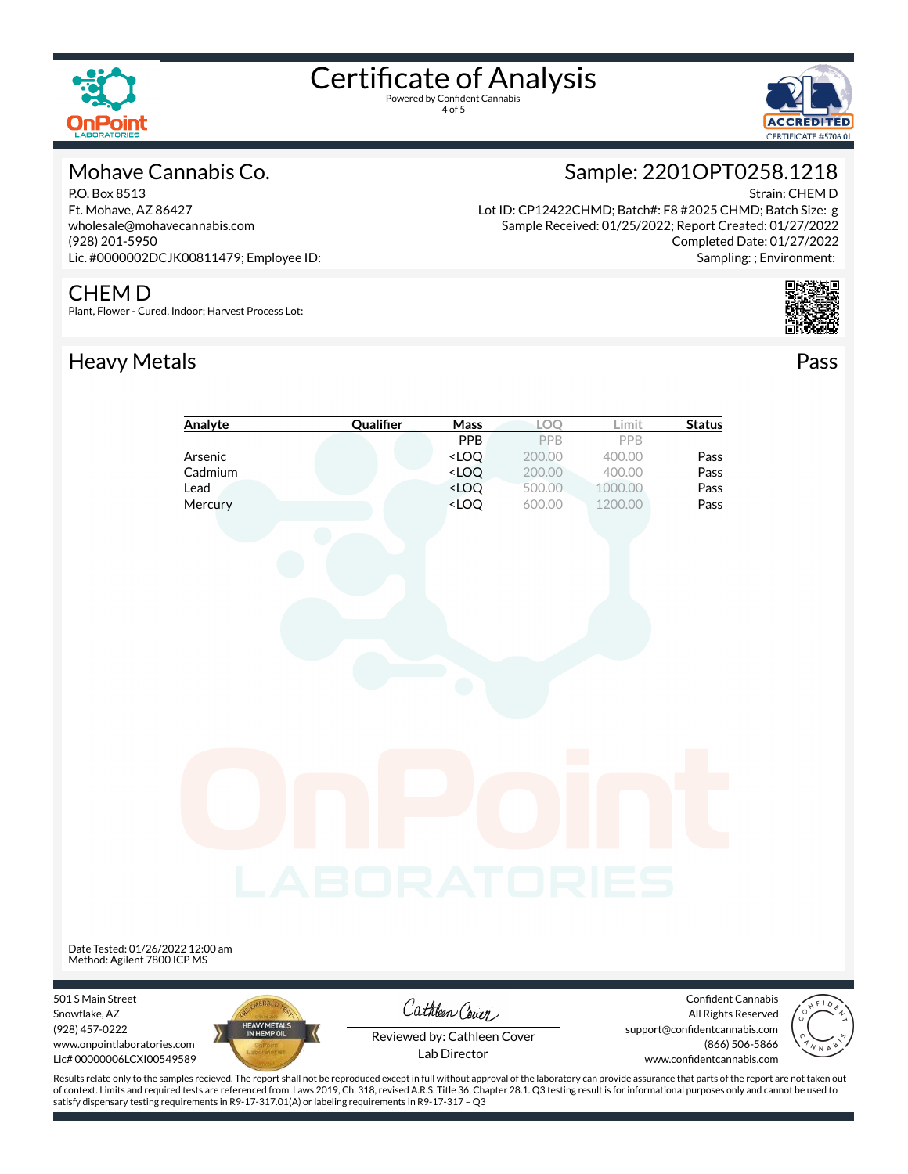



#### Mohave Cannabis Co.

P.O. Box 8513 Ft. Mohave, AZ 86427 wholesale@mohavecannabis.com (928) 201-5950 Lic. #0000002DCJK00811479; Employee ID:

### Sample: 2201OPT0258.1218

Strain: CHEM D Lot ID: CP12422CHMD; Batch#: F8 #2025 CHMD; Batch Size: g Sample Received: 01/25/2022; Report Created: 01/27/2022 Completed Date: 01/27/2022 Sampling: ; Environment:

#### CHEM D

Plant, Flower - Cured, Indoor; Harvest Process Lot:

### Heavy Metals **Pass**



|                                                                 | Analyte                     | Qualifier    | Mass                                                                     | LOQ                        | Limit   | <b>Status</b>                                    |  |
|-----------------------------------------------------------------|-----------------------------|--------------|--------------------------------------------------------------------------|----------------------------|---------|--------------------------------------------------|--|
|                                                                 |                             |              | PPB                                                                      | PPB                        | PPB     |                                                  |  |
|                                                                 | Arsenic                     |              | <loq< td=""><td>200.00</td><td>400.00</td><td>Pass</td><td></td></loq<>  | 200.00                     | 400.00  | Pass                                             |  |
|                                                                 | Cadmium                     |              | <loq< td=""><td>200.00</td><td>400.00</td><td>Pass</td><td></td></loq<>  | 200.00                     | 400.00  | Pass                                             |  |
|                                                                 | Lead                        |              | <loq< td=""><td>500.00</td><td>1000.00</td><td>Pass</td><td></td></loq<> | 500.00                     | 1000.00 | Pass                                             |  |
|                                                                 | Mercury                     |              | <loq< td=""><td>600.00</td><td>1200.00</td><td>Pass</td><td></td></loq<> | 600.00                     | 1200.00 | Pass                                             |  |
|                                                                 |                             |              |                                                                          |                            |         |                                                  |  |
|                                                                 |                             |              |                                                                          |                            |         |                                                  |  |
|                                                                 |                             |              |                                                                          |                            |         |                                                  |  |
|                                                                 |                             |              |                                                                          |                            |         |                                                  |  |
|                                                                 |                             |              |                                                                          |                            |         |                                                  |  |
|                                                                 |                             |              |                                                                          |                            |         |                                                  |  |
|                                                                 |                             |              |                                                                          |                            |         |                                                  |  |
|                                                                 |                             |              |                                                                          |                            |         |                                                  |  |
|                                                                 |                             |              |                                                                          |                            |         |                                                  |  |
|                                                                 |                             |              |                                                                          |                            |         |                                                  |  |
|                                                                 |                             |              |                                                                          |                            |         |                                                  |  |
|                                                                 |                             |              |                                                                          |                            |         |                                                  |  |
|                                                                 |                             |              |                                                                          |                            |         |                                                  |  |
|                                                                 |                             |              |                                                                          |                            |         |                                                  |  |
|                                                                 |                             |              |                                                                          | $\mathcal{O}(\mathcal{O})$ |         |                                                  |  |
|                                                                 |                             |              |                                                                          |                            |         |                                                  |  |
|                                                                 |                             |              |                                                                          |                            |         |                                                  |  |
|                                                                 |                             |              |                                                                          |                            |         |                                                  |  |
|                                                                 |                             |              |                                                                          |                            |         |                                                  |  |
|                                                                 |                             |              |                                                                          |                            |         |                                                  |  |
|                                                                 |                             |              |                                                                          |                            |         |                                                  |  |
|                                                                 |                             | LABORATORIES |                                                                          |                            |         |                                                  |  |
|                                                                 |                             |              |                                                                          |                            |         |                                                  |  |
|                                                                 |                             |              |                                                                          |                            |         |                                                  |  |
|                                                                 |                             |              |                                                                          |                            |         |                                                  |  |
|                                                                 |                             |              |                                                                          |                            |         |                                                  |  |
| Date Tested: 01/26/2022 12:00 am<br>Method: Agilent 7800 ICP MS |                             |              |                                                                          |                            |         |                                                  |  |
|                                                                 |                             |              |                                                                          |                            |         |                                                  |  |
|                                                                 |                             |              |                                                                          |                            |         |                                                  |  |
| 501 S Main Street<br>Snowflake, AZ                              |                             |              | Cathleen Cover                                                           |                            |         | <b>Confident Cannabis</b><br>All Rights Reserved |  |
| (928) 457-0222                                                  | HEAVY METALS<br>IN HEMP OIL |              |                                                                          |                            |         | support@confidentcannabis.com                    |  |
| www.onpointlaboratories.com                                     |                             |              | Reviewed by: Cathleen Cover                                              |                            |         | (866) 506-5866                                   |  |
| Lic# 00000006LCXI00549589                                       |                             |              | Lab Director                                                             |                            |         | www.confidentcannabis.com                        |  |



Results relate only to the samples recieved. The report shall not be reproduced except in full without approval of the laboratory can provide assurance that parts of the report are not taken out of context. Limits and required tests are referenced from Laws 2019, Ch. 318, revised A.R.S. Title 36, Chapter 28.1. Q3 testing result is for informational purposes only and cannot be used to satisfy dispensary testing requirements in R9-17-317.01(A) or labeling requirements in R9-17-317 – Q3